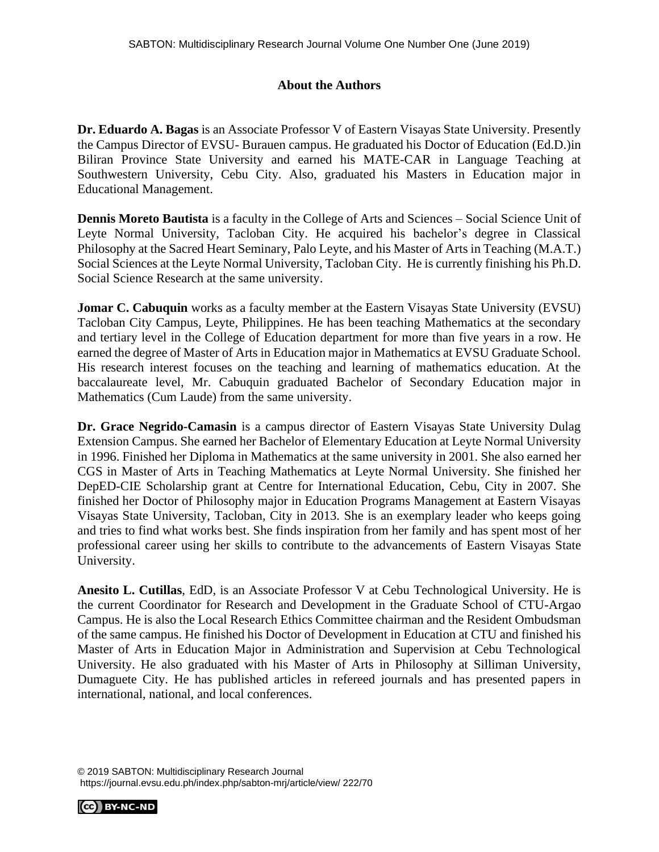## **About the Authors**

**Dr. Eduardo A. Bagas** is an Associate Professor V of Eastern Visayas State University. Presently the Campus Director of EVSU- Burauen campus. He graduated his Doctor of Education (Ed.D.)in Biliran Province State University and earned his MATE-CAR in Language Teaching at Southwestern University, Cebu City. Also, graduated his Masters in Education major in Educational Management.

**Dennis Moreto Bautista** is a faculty in the College of Arts and Sciences – Social Science Unit of Leyte Normal University, Tacloban City. He acquired his bachelor's degree in Classical Philosophy at the Sacred Heart Seminary, Palo Leyte, and his Master of Arts in Teaching (M.A.T.) Social Sciences at the Leyte Normal University, Tacloban City. He is currently finishing his Ph.D. Social Science Research at the same university.

**Jomar C. Cabuquin** works as a faculty member at the Eastern Visayas State University (EVSU) Tacloban City Campus, Leyte, Philippines. He has been teaching Mathematics at the secondary and tertiary level in the College of Education department for more than five years in a row. He earned the degree of Master of Arts in Education major in Mathematics at EVSU Graduate School. His research interest focuses on the teaching and learning of mathematics education. At the baccalaureate level, Mr. Cabuquin graduated Bachelor of Secondary Education major in Mathematics (Cum Laude) from the same university.

**Dr. Grace Negrido-Camasin** is a campus director of Eastern Visayas State University Dulag Extension Campus. She earned her Bachelor of Elementary Education at Leyte Normal University in 1996. Finished her Diploma in Mathematics at the same university in 2001. She also earned her CGS in Master of Arts in Teaching Mathematics at Leyte Normal University. She finished her DepED-CIE Scholarship grant at Centre for International Education, Cebu, City in 2007. She finished her Doctor of Philosophy major in Education Programs Management at Eastern Visayas Visayas State University, Tacloban, City in 2013. She is an exemplary leader who keeps going and tries to find what works best. She finds inspiration from her family and has spent most of her professional career using her skills to contribute to the advancements of Eastern Visayas State University.

**Anesito L. Cutillas**, EdD, is an Associate Professor V at Cebu Technological University. He is the current Coordinator for Research and Development in the Graduate School of CTU-Argao Campus. He is also the Local Research Ethics Committee chairman and the Resident Ombudsman of the same campus. He finished his Doctor of Development in Education at CTU and finished his Master of Arts in Education Major in Administration and Supervision at Cebu Technological University. He also graduated with his Master of Arts in Philosophy at Silliman University, Dumaguete City. He has published articles in refereed journals and has presented papers in international, national, and local conferences.

© 2019 SABTON: Multidisciplinary Research Journal https://journal.evsu.edu.ph/index.php/sabton-mrj/article/view/ 222/70

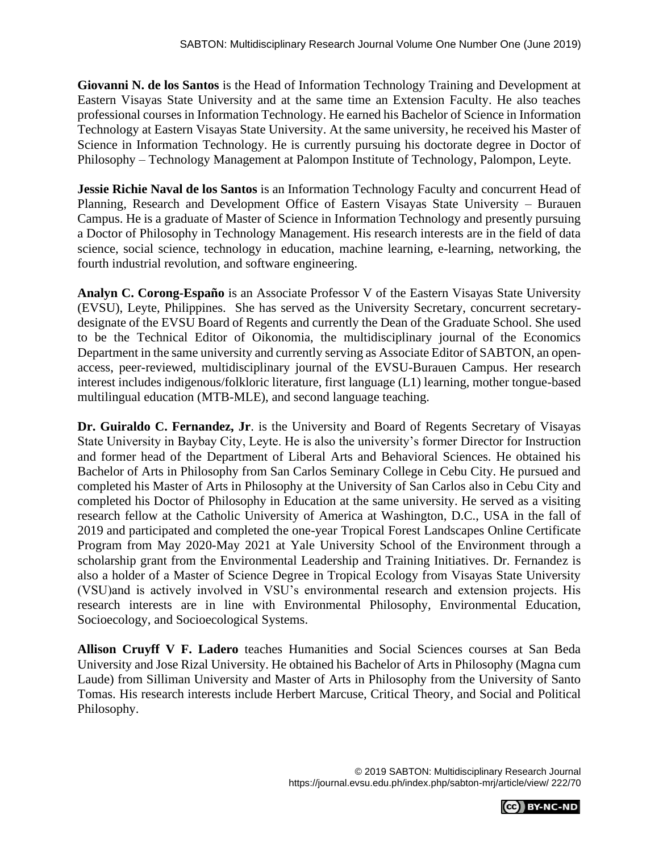**Giovanni N. de los Santos** is the Head of Information Technology Training and Development at Eastern Visayas State University and at the same time an Extension Faculty. He also teaches professional courses in Information Technology. He earned his Bachelor of Science in Information Technology at Eastern Visayas State University. At the same university, he received his Master of Science in Information Technology. He is currently pursuing his doctorate degree in Doctor of Philosophy – Technology Management at Palompon Institute of Technology, Palompon, Leyte.

**Jessie Richie Naval de los Santos** is an Information Technology Faculty and concurrent Head of Planning, Research and Development Office of Eastern Visayas State University – Burauen Campus. He is a graduate of Master of Science in Information Technology and presently pursuing a Doctor of Philosophy in Technology Management. His research interests are in the field of data science, social science, technology in education, machine learning, e-learning, networking, the fourth industrial revolution, and software engineering.

**Analyn C. Corong-Españo** is an Associate Professor V of the Eastern Visayas State University (EVSU), Leyte, Philippines. She has served as the University Secretary, concurrent secretarydesignate of the EVSU Board of Regents and currently the Dean of the Graduate School. She used to be the Technical Editor of Oikonomia, the multidisciplinary journal of the Economics Department in the same university and currently serving as Associate Editor of SABTON, an openaccess, peer-reviewed, multidisciplinary journal of the EVSU-Burauen Campus. Her research interest includes indigenous/folkloric literature, first language (L1) learning, mother tongue-based multilingual education (MTB-MLE), and second language teaching.

**Dr. Guiraldo C. Fernandez, Jr**. is the University and Board of Regents Secretary of Visayas State University in Baybay City, Leyte. He is also the university's former Director for Instruction and former head of the Department of Liberal Arts and Behavioral Sciences. He obtained his Bachelor of Arts in Philosophy from San Carlos Seminary College in Cebu City. He pursued and completed his Master of Arts in Philosophy at the University of San Carlos also in Cebu City and completed his Doctor of Philosophy in Education at the same university. He served as a visiting research fellow at the Catholic University of America at Washington, D.C., USA in the fall of 2019 and participated and completed the one-year Tropical Forest Landscapes Online Certificate Program from May 2020-May 2021 at Yale University School of the Environment through a scholarship grant from the Environmental Leadership and Training Initiatives. Dr. Fernandez is also a holder of a Master of Science Degree in Tropical Ecology from Visayas State University (VSU)and is actively involved in VSU's environmental research and extension projects. His research interests are in line with Environmental Philosophy, Environmental Education, Socioecology, and Socioecological Systems.

**Allison Cruyff V F. Ladero** teaches Humanities and Social Sciences courses at San Beda University and Jose Rizal University. He obtained his Bachelor of Arts in Philosophy (Magna cum Laude) from Silliman University and Master of Arts in Philosophy from the University of Santo Tomas. His research interests include Herbert Marcuse, Critical Theory, and Social and Political Philosophy.